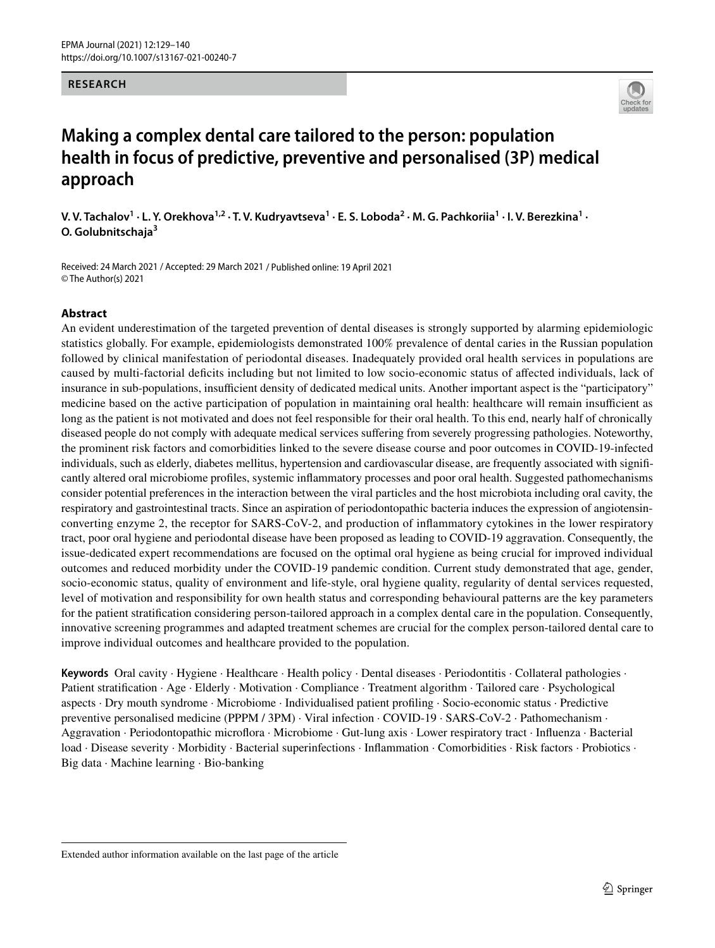### **RESEARCH**



# **Making a complex dental care tailored to the person: population health in focus of predictive, preventive and personalised (3P) medical approach**

 $V. V.$  Tachalov $^1 \cdot$  L. Y. Orekhova $^{1,2} \cdot$  T. V. Kudryavtseva $^1 \cdot$  E. S. Loboda $^2 \cdot$  M. G. Pachkoriia $^1 \cdot$  I. V. Berezkina $^1 \cdot$ **O. Golubnitschaja<sup>3</sup>**

Received: 24 March 2021 / Accepted: 29 March 2021 / Published online: 19 April 2021 © The Author(s) 2021

### **Abstract**

An evident underestimation of the targeted prevention of dental diseases is strongly supported by alarming epidemiologic statistics globally. For example, epidemiologists demonstrated 100% prevalence of dental caries in the Russian population followed by clinical manifestation of periodontal diseases. Inadequately provided oral health services in populations are caused by multi-factorial defcits including but not limited to low socio-economic status of afected individuals, lack of insurance in sub-populations, insufficient density of dedicated medical units. Another important aspect is the "participatory" medicine based on the active participation of population in maintaining oral health: healthcare will remain insufficient as long as the patient is not motivated and does not feel responsible for their oral health. To this end, nearly half of chronically diseased people do not comply with adequate medical services sufering from severely progressing pathologies. Noteworthy, the prominent risk factors and comorbidities linked to the severe disease course and poor outcomes in COVID-19-infected individuals, such as elderly, diabetes mellitus, hypertension and cardiovascular disease, are frequently associated with signifcantly altered oral microbiome profles, systemic infammatory processes and poor oral health. Suggested pathomechanisms consider potential preferences in the interaction between the viral particles and the host microbiota including oral cavity, the respiratory and gastrointestinal tracts. Since an aspiration of periodontopathic bacteria induces the expression of angiotensinconverting enzyme 2, the receptor for SARS-CoV-2, and production of infammatory cytokines in the lower respiratory tract, poor oral hygiene and periodontal disease have been proposed as leading to COVID-19 aggravation. Consequently, the issue-dedicated expert recommendations are focused on the optimal oral hygiene as being crucial for improved individual outcomes and reduced morbidity under the COVID-19 pandemic condition. Current study demonstrated that age, gender, socio-economic status, quality of environment and life-style, oral hygiene quality, regularity of dental services requested, level of motivation and responsibility for own health status and corresponding behavioural patterns are the key parameters for the patient stratifcation considering person-tailored approach in a complex dental care in the population. Consequently, innovative screening programmes and adapted treatment schemes are crucial for the complex person-tailored dental care to improve individual outcomes and healthcare provided to the population.

**Keywords** Oral cavity · Hygiene · Healthcare · Health policy · Dental diseases · Periodontitis · Collateral pathologies · Patient stratifcation · Age · Elderly · Motivation · Compliance · Treatment algorithm · Tailored care · Psychological aspects · Dry mouth syndrome · Microbiome · Individualised patient profling · Socio-economic status · Predictive preventive personalised medicine (PPPM / 3PM) · Viral infection · COVID-19 · SARS-CoV-2 · Pathomechanism · Aggravation · Periodontopathic microfora · Microbiome · Gut-lung axis · Lower respiratory tract · Infuenza · Bacterial load · Disease severity · Morbidity · Bacterial superinfections · Infammation · Comorbidities · Risk factors · Probiotics · Big data · Machine learning · Bio-banking

Extended author information available on the last page of the article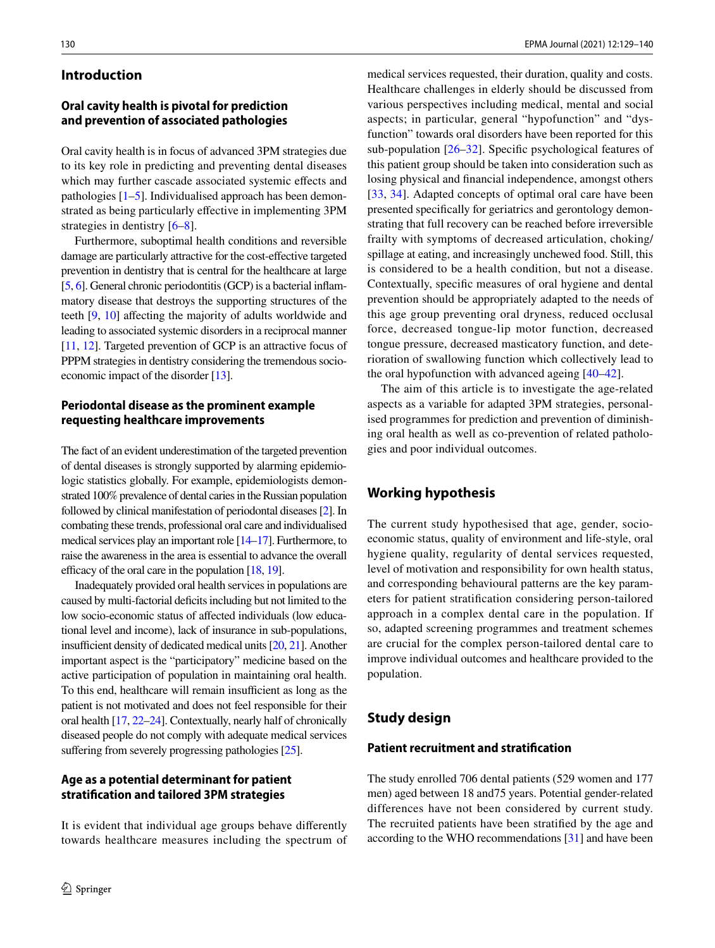### **Introduction**

### **Oral cavity health is pivotal for prediction and prevention of associated pathologies**

Oral cavity health is in focus of advanced 3PM strategies due to its key role in predicting and preventing dental diseases which may further cascade associated systemic efects and pathologies [\[1](#page-9-0)[–5](#page-9-1)]. Individualised approach has been demonstrated as being particularly efective in implementing 3PM strategies in dentistry [\[6](#page-9-2)[–8](#page-9-3)].

Furthermore, suboptimal health conditions and reversible damage are particularly attractive for the cost-efective targeted prevention in dentistry that is central for the healthcare at large [\[5,](#page-9-1) [6\]](#page-9-2). General chronic periodontitis (GCP) is a bacterial inflammatory disease that destroys the supporting structures of the teeth [\[9](#page-9-4), [10\]](#page-9-5) affecting the majority of adults worldwide and leading to associated systemic disorders in a reciprocal manner [\[11,](#page-9-6) [12\]](#page-9-7). Targeted prevention of GCP is an attractive focus of PPPM strategies in dentistry considering the tremendous socioeconomic impact of the disorder [\[13\]](#page-9-8).

### **Periodontal disease as the prominent example requesting healthcare improvements**

The fact of an evident underestimation of the targeted prevention of dental diseases is strongly supported by alarming epidemiologic statistics globally. For example, epidemiologists demonstrated 100% prevalence of dental caries in the Russian population followed by clinical manifestation of periodontal diseases [\[2\]](#page-9-9). In combating these trends, professional oral care and individualised medical services play an important role [\[14](#page-9-10)[–17](#page-9-11)]. Furthermore, to raise the awareness in the area is essential to advance the overall efficacy of the oral care in the population  $[18, 19]$  $[18, 19]$ .

Inadequately provided oral health services in populations are caused by multi-factorial deficits including but not limited to the low socio-economic status of afected individuals (low educational level and income), lack of insurance in sub-populations, insufficient density of dedicated medical units  $[20, 21]$  $[20, 21]$ . Another important aspect is the "participatory" medicine based on the active participation of population in maintaining oral health. To this end, healthcare will remain insufficient as long as the patient is not motivated and does not feel responsible for their oral health [\[17,](#page-9-11) [22–](#page-9-16)[24](#page-9-17)]. Contextually, nearly half of chronically diseased people do not comply with adequate medical services suffering from severely progressing pathologies [\[25\]](#page-9-18).

### **Age as a potential determinant for patient stratifcation and tailored 3PM strategies**

It is evident that individual age groups behave diferently towards healthcare measures including the spectrum of medical services requested, their duration, quality and costs. Healthcare challenges in elderly should be discussed from various perspectives including medical, mental and social aspects; in particular, general "hypofunction" and "dysfunction" towards oral disorders have been reported for this sub-population [\[26](#page-9-19)[–32](#page-9-20)]. Specifc psychological features of this patient group should be taken into consideration such as losing physical and fnancial independence, amongst others [[33,](#page-10-0) [34](#page-10-1)]. Adapted concepts of optimal oral care have been presented specifcally for geriatrics and gerontology demonstrating that full recovery can be reached before irreversible frailty with symptoms of decreased articulation, choking/ spillage at eating, and increasingly unchewed food. Still, this is considered to be a health condition, but not a disease. Contextually, specifc measures of oral hygiene and dental prevention should be appropriately adapted to the needs of this age group preventing oral dryness, reduced occlusal force, decreased tongue-lip motor function, decreased tongue pressure, decreased masticatory function, and deterioration of swallowing function which collectively lead to the oral hypofunction with advanced ageing [[40–](#page-10-2)[42](#page-10-3)].

The aim of this article is to investigate the age-related aspects as a variable for adapted 3PM strategies, personalised programmes for prediction and prevention of diminishing oral health as well as co-prevention of related pathologies and poor individual outcomes.

# **Working hypothesis**

The current study hypothesised that age, gender, socioeconomic status, quality of environment and life-style, oral hygiene quality, regularity of dental services requested, level of motivation and responsibility for own health status, and corresponding behavioural patterns are the key parameters for patient stratifcation considering person-tailored approach in a complex dental care in the population. If so, adapted screening programmes and treatment schemes are crucial for the complex person-tailored dental care to improve individual outcomes and healthcare provided to the population.

# **Study design**

#### **Patient recruitment and stratifcation**

The study enrolled 706 dental patients (529 women and 177 men) aged between 18 and75 years. Potential gender-related differences have not been considered by current study. The recruited patients have been stratifed by the age and according to the WHO recommendations [\[31](#page-9-21)] and have been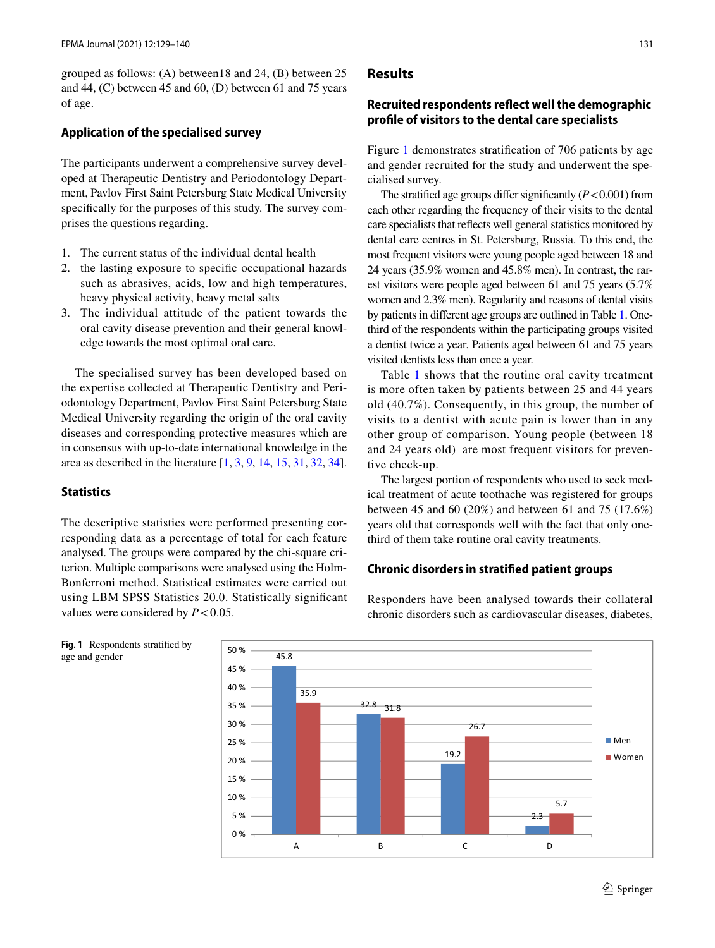grouped as follows: (A) between18 and 24, (B) between 25 and 44, (C) between 45 and 60, (D) between 61 and 75 years of age.

#### **Application of the specialised survey**

The participants underwent a comprehensive survey developed at Therapeutic Dentistry and Periodontology Department, Pavlov First Saint Petersburg State Medical University specifcally for the purposes of this study. The survey comprises the questions regarding.

- 1. The current status of the individual dental health
- 2. the lasting exposure to specifc occupational hazards such as abrasives, acids, low and high temperatures, heavy physical activity, heavy metal salts
- 3. The individual attitude of the patient towards the oral cavity disease prevention and their general knowledge towards the most optimal oral care.

The specialised survey has been developed based on the expertise collected at Therapeutic Dentistry and Periodontology Department, Pavlov First Saint Petersburg State Medical University regarding the origin of the oral cavity diseases and corresponding protective measures which are in consensus with up-to-date international knowledge in the area as described in the literature [\[1](#page-9-0), [3,](#page-9-22) [9](#page-9-4), [14,](#page-9-10) [15,](#page-9-23) [31](#page-9-21), [32,](#page-9-20) [34](#page-10-1)].

### **Statistics**

The descriptive statistics were performed presenting corresponding data as a percentage of total for each feature analysed. The groups were compared by the chi-square criterion. Multiple comparisons were analysed using the Holm-Bonferroni method. Statistical estimates were carried out using LBM SPSS Statistics 20.0. Statistically signifcant values were considered by  $P < 0.05$ .

# **Recruited respondents refect well the demographic profle of visitors to the dental care specialists**

Figure [1](#page-2-0) demonstrates stratifcation of 706 patients by age and gender recruited for the study and underwent the specialised survey.

The stratified age groups differ significantly  $(P<0.001)$  from each other regarding the frequency of their visits to the dental care specialists that refects well general statistics monitored by dental care centres in St. Petersburg, Russia. To this end, the most frequent visitors were young people aged between 18 and 24 years (35.9% women and 45.8% men). In contrast, the rarest visitors were people aged between 61 and 75 years (5.7% women and 2.3% men). Regularity and reasons of dental visits by patients in diferent age groups are outlined in Table [1.](#page-3-0) Onethird of the respondents within the participating groups visited a dentist twice a year. Patients aged between 61 and 75 years visited dentists less than once a year.

Table [1](#page-3-0) shows that the routine oral cavity treatment is more often taken by patients between 25 and 44 years old (40.7%). Consequently, in this group, the number of visits to a dentist with acute pain is lower than in any other group of comparison. Young people (between 18 and 24 years old) are most frequent visitors for preventive check-up.

The largest portion of respondents who used to seek medical treatment of acute toothache was registered for groups between 45 and 60 (20%) and between 61 and 75 (17.6%) years old that corresponds well with the fact that only onethird of them take routine oral cavity treatments.

### **Chronic disorders in stratifed patient groups**

Responders have been analysed towards their collateral chronic disorders such as cardiovascular diseases, diabetes,



<span id="page-2-0"></span>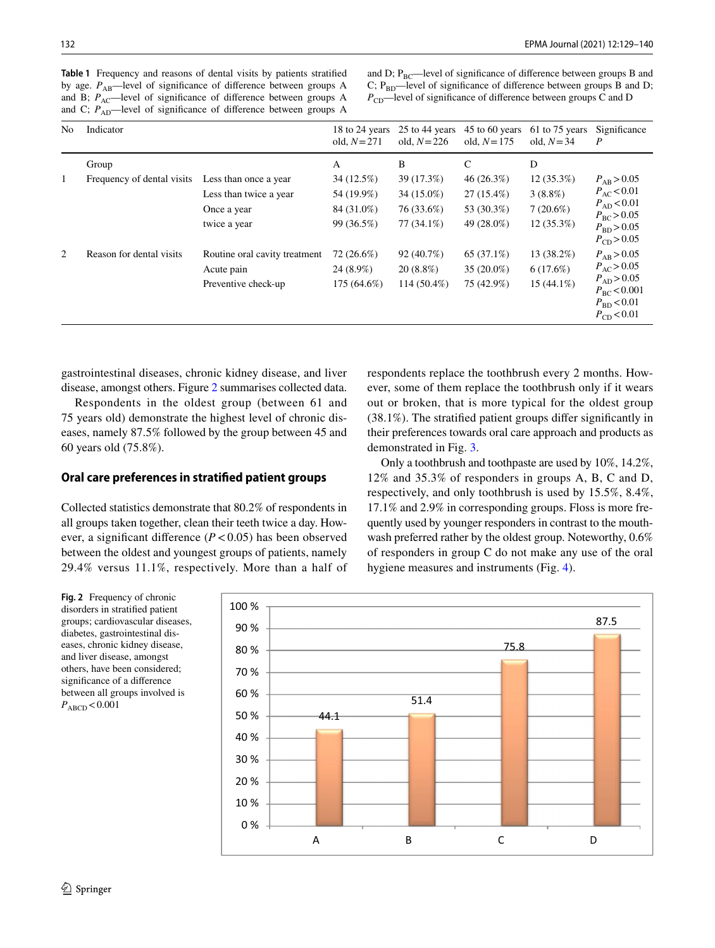and D;  $P_{BC}$ —level of significance of difference between groups B and C;  $P_{BD}$ —level of significance of difference between groups B and D;  $P_{CD}$ —level of significance of difference between groups C and D

<span id="page-3-0"></span>

| No. | Indicator                           |                                                                                | 18 to 24 years<br>old, $N = 271$                          | 25 to 44 years<br>old, $N = 226$                          | 45 to 60 years<br>old, $N = 175$                           | 61 to 75 years<br>old, $N=34$                                  | Significance<br>$\boldsymbol{P}$                                                                                                           |
|-----|-------------------------------------|--------------------------------------------------------------------------------|-----------------------------------------------------------|-----------------------------------------------------------|------------------------------------------------------------|----------------------------------------------------------------|--------------------------------------------------------------------------------------------------------------------------------------------|
| 1   | Group<br>Frequency of dental visits | Less than once a year<br>Less than twice a year<br>Once a year<br>twice a year | A<br>34 (12.5%)<br>54 (19.9%)<br>84 (31.0%)<br>99 (36.5%) | B<br>39 (17.3%)<br>34 (15.0%)<br>76 (33.6%)<br>77 (34.1%) | C<br>46(26.3%)<br>$27(15.4\%)$<br>53 (30.3%)<br>49 (28.0%) | D<br>$12(35.3\%)$<br>$3(8.8\%)$<br>$7(20.6\%)$<br>$12(35.3\%)$ | $P_{\rm AB} > 0.05$<br>$P_{AC}$ < 0.01<br>$P_{AD}$ < 0.01<br>$P_{BC} > 0.05$<br>$P_{\rm BD}$ > 0.05                                        |
| 2   | Reason for dental visits            | Routine oral cavity treatment<br>Acute pain<br>Preventive check-up             | 72 (26.6%)<br>24 (8.9%)<br>175 (64.6%)                    | 92 (40.7%)<br>$20(8.8\%)$<br>$114(50.4\%)$                | 65 (37.1%)<br>$35(20.0\%)$<br>75 (42.9%)                   | 13 (38.2%)<br>$6(17.6\%)$<br>$15(44.1\%)$                      | $P_{CD}$ > 0.05<br>$P_{AB} > 0.05$<br>$P_{\rm AC}$ > 0.05<br>$P_{AD} > 0.05$<br>$P_{BC}$ < 0.001<br>$P_{\rm BD}$ < 0.01<br>$P_{CD}$ < 0.01 |

gastrointestinal diseases, chronic kidney disease, and liver disease, amongst others. Figure [2](#page-3-1) summarises collected data.

Respondents in the oldest group (between 61 and 75 years old) demonstrate the highest level of chronic diseases, namely 87.5% followed by the group between 45 and 60 years old (75.8%).

### **Oral care preferences in stratifed patient groups**

Collected statistics demonstrate that 80.2% of respondents in all groups taken together, clean their teeth twice a day. However, a significant difference  $(P < 0.05)$  has been observed between the oldest and youngest groups of patients, namely 29.4% versus 11.1%, respectively. More than a half of respondents replace the toothbrush every 2 months. However, some of them replace the toothbrush only if it wears out or broken, that is more typical for the oldest group (38.1%). The stratifed patient groups difer signifcantly in their preferences towards oral care approach and products as demonstrated in Fig. [3.](#page-4-0)

Only a toothbrush and toothpaste are used by 10%, 14.2%, 12% and 35.3% of responders in groups A, B, C and D, respectively, and only toothbrush is used by 15.5%, 8.4%, 17.1% and 2.9% in corresponding groups. Floss is more frequently used by younger responders in contrast to the mouthwash preferred rather by the oldest group. Noteworthy, 0.6% of responders in group C do not make any use of the oral hygiene measures and instruments (Fig. [4\)](#page-4-1).

<span id="page-3-1"></span>**Fig. 2** Frequency of chronic disorders in stratifed patient groups; cardiovascular diseases, diabetes, gastrointestinal diseases, chronic kidney disease, and liver disease, amongst others, have been considered; signifcance of a diference between all groups involved is  $P_{\rm ABCD}$  < 0.001

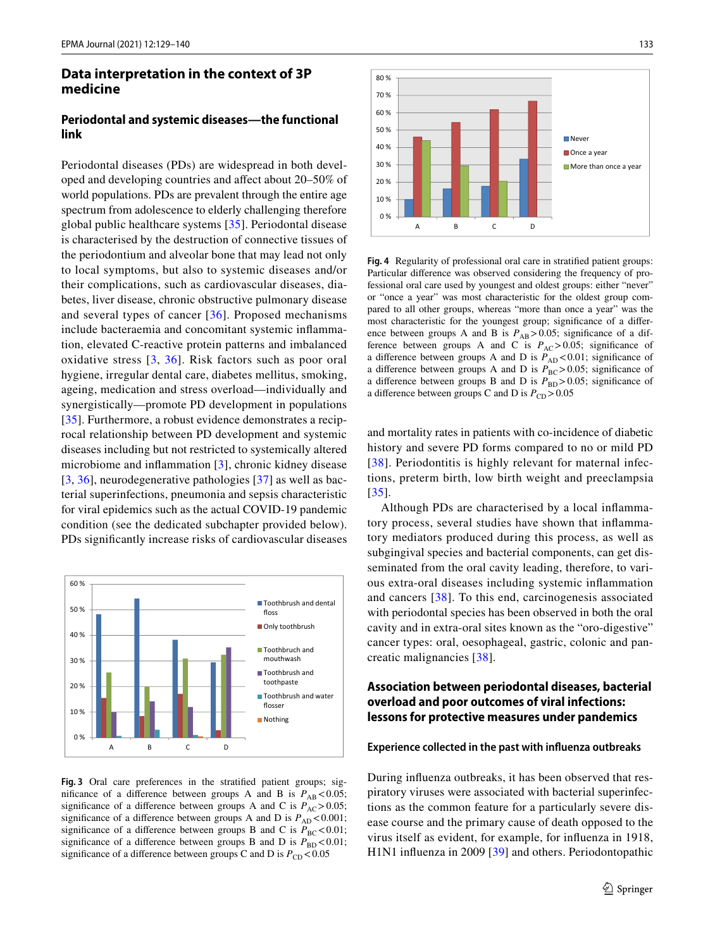# **Data interpretation in the context of 3P medicine**

### **Periodontal and systemic diseases—the functional link**

Periodontal diseases (PDs) are widespread in both developed and developing countries and afect about 20–50% of world populations. PDs are prevalent through the entire age spectrum from adolescence to elderly challenging therefore global public healthcare systems [[35\]](#page-10-4). Periodontal disease is characterised by the destruction of connective tissues of the periodontium and alveolar bone that may lead not only to local symptoms, but also to systemic diseases and/or their complications, such as cardiovascular diseases, diabetes, liver disease, chronic obstructive pulmonary disease and several types of cancer [[36](#page-10-5)]. Proposed mechanisms include bacteraemia and concomitant systemic infammation, elevated C-reactive protein patterns and imbalanced oxidative stress [[3,](#page-9-22) [36\]](#page-10-5). Risk factors such as poor oral hygiene, irregular dental care, diabetes mellitus, smoking, ageing, medication and stress overload—individually and synergistically—promote PD development in populations [\[35\]](#page-10-4). Furthermore, a robust evidence demonstrates a reciprocal relationship between PD development and systemic diseases including but not restricted to systemically altered microbiome and infammation [[3\]](#page-9-22), chronic kidney disease [\[3,](#page-9-22) [36\]](#page-10-5), neurodegenerative pathologies [[37](#page-10-6)] as well as bacterial superinfections, pneumonia and sepsis characteristic for viral epidemics such as the actual COVID-19 pandemic condition (see the dedicated subchapter provided below). PDs signifcantly increase risks of cardiovascular diseases



<span id="page-4-0"></span>**Fig. 3** Oral care preferences in the stratifed patient groups; significance of a difference between groups A and B is  $P_{AB}$  < 0.05; significance of a difference between groups A and C is  $P_{AC} > 0.05$ ; significance of a difference between groups A and D is  $P_{AD}$  < 0.001; significance of a difference between groups B and C is  $P_{BC}$ <0.01; significance of a difference between groups B and D is  $P_{BD}$  <0.01; significance of a difference between groups C and D is  $P_{CD}$  < 0.05



<span id="page-4-1"></span>**Fig. 4** Regularity of professional oral care in stratifed patient groups: Particular diference was observed considering the frequency of professional oral care used by youngest and oldest groups: either "never" or "once a year" was most characteristic for the oldest group compared to all other groups, whereas "more than once a year" was the most characteristic for the youngest group; signifcance of a diference between groups A and B is  $P_{AB}$ >0.05; significance of a difference between groups A and C is  $P_{AC} > 0.05$ ; significance of a difference between groups A and D is  $\widetilde{P_{AD}}$  <0.01; significance of a difference between groups A and D is  $P_{BC} > 0.05$ ; significance of a difference between groups B and D is  $P_{\text{BD}} > 0.05$ ; significance of a difference between groups C and D is  $P_{CD}$  > 0.05

and mortality rates in patients with co-incidence of diabetic history and severe PD forms compared to no or mild PD [[38](#page-10-7)]. Periodontitis is highly relevant for maternal infections, preterm birth, low birth weight and preeclampsia [[35\]](#page-10-4).

Although PDs are characterised by a local infammatory process, several studies have shown that infammatory mediators produced during this process, as well as subgingival species and bacterial components, can get disseminated from the oral cavity leading, therefore, to various extra-oral diseases including systemic infammation and cancers [[38\]](#page-10-7). To this end, carcinogenesis associated with periodontal species has been observed in both the oral cavity and in extra-oral sites known as the "oro-digestive" cancer types: oral, oesophageal, gastric, colonic and pancreatic malignancies [[38](#page-10-7)].

# **Association between periodontal diseases, bacterial overload and poor outcomes of viral infections: lessons for protective measures under pandemics**

#### **Experience collected in the past with infuenza outbreaks**

During infuenza outbreaks, it has been observed that respiratory viruses were associated with bacterial superinfections as the common feature for a particularly severe disease course and the primary cause of death opposed to the virus itself as evident, for example, for infuenza in 1918, H1N1 infuenza in 2009 [\[39\]](#page-10-8) and others. Periodontopathic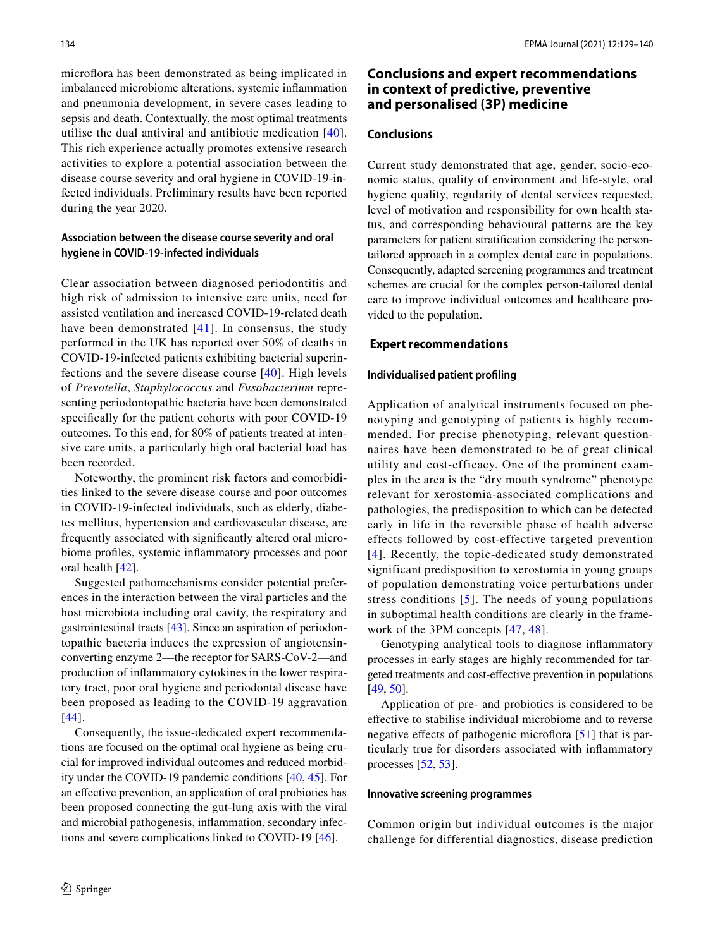microflora has been demonstrated as being implicated in imbalanced microbiome alterations, systemic infammation and pneumonia development, in severe cases leading to sepsis and death. Contextually, the most optimal treatments utilise the dual antiviral and antibiotic medication [[40](#page-10-2)]. This rich experience actually promotes extensive research activities to explore a potential association between the disease course severity and oral hygiene in COVID-19-infected individuals. Preliminary results have been reported during the year 2020.

### **Association between the disease course severity and oral hygiene in COVID‑19‑infected individuals**

Clear association between diagnosed periodontitis and high risk of admission to intensive care units, need for assisted ventilation and increased COVID-19-related death have been demonstrated  $[41]$  $[41]$ . In consensus, the study performed in the UK has reported over 50% of deaths in COVID-19-infected patients exhibiting bacterial superinfections and the severe disease course [[40](#page-10-2)]. High levels of *Prevotella*, *Staphylococcus* and *Fusobacterium* representing periodontopathic bacteria have been demonstrated specifcally for the patient cohorts with poor COVID-19 outcomes. To this end, for 80% of patients treated at intensive care units, a particularly high oral bacterial load has been recorded.

Noteworthy, the prominent risk factors and comorbidities linked to the severe disease course and poor outcomes in COVID-19-infected individuals, such as elderly, diabetes mellitus, hypertension and cardiovascular disease, are frequently associated with signifcantly altered oral microbiome profles, systemic infammatory processes and poor oral health [[42\]](#page-10-3).

Suggested pathomechanisms consider potential preferences in the interaction between the viral particles and the host microbiota including oral cavity, the respiratory and gastrointestinal tracts [\[43](#page-10-10)]. Since an aspiration of periodontopathic bacteria induces the expression of angiotensinconverting enzyme 2—the receptor for SARS-CoV-2—and production of infammatory cytokines in the lower respiratory tract, poor oral hygiene and periodontal disease have been proposed as leading to the COVID-19 aggravation [[44\]](#page-10-11).

Consequently, the issue-dedicated expert recommendations are focused on the optimal oral hygiene as being crucial for improved individual outcomes and reduced morbidity under the COVID-19 pandemic conditions [[40,](#page-10-2) [45\]](#page-10-12). For an efective prevention, an application of oral probiotics has been proposed connecting the gut-lung axis with the viral and microbial pathogenesis, infammation, secondary infections and severe complications linked to COVID-19 [[46\]](#page-10-13).

# **Conclusions and expert recommendations in context of predictive, preventive and personalised (3P) medicine**

### **Conclusions**

Current study demonstrated that age, gender, socio-economic status, quality of environment and life-style, oral hygiene quality, regularity of dental services requested, level of motivation and responsibility for own health status, and corresponding behavioural patterns are the key parameters for patient stratifcation considering the persontailored approach in a complex dental care in populations. Consequently, adapted screening programmes and treatment schemes are crucial for the complex person-tailored dental care to improve individual outcomes and healthcare provided to the population.

#### **Expert recommendations**

#### **Individualised patient profling**

Application of analytical instruments focused on phenotyping and genotyping of patients is highly recommended. For precise phenotyping, relevant questionnaires have been demonstrated to be of great clinical utility and cost-efficacy. One of the prominent examples in the area is the "dry mouth syndrome" phenotype relevant for xerostomia-associated complications and pathologies, the predisposition to which can be detected early in life in the reversible phase of health adverse effects followed by cost-effective targeted prevention [[4](#page-9-24)]. Recently, the topic-dedicated study demonstrated significant predisposition to xerostomia in young groups of population demonstrating voice perturbations under stress conditions [[5](#page-9-1)]. The needs of young populations in suboptimal health conditions are clearly in the framework of the 3PM concepts [\[47](#page-10-14), [48](#page-10-15)].

Genotyping analytical tools to diagnose infammatory processes in early stages are highly recommended for targeted treatments and cost-efective prevention in populations [[49,](#page-10-16) [50\]](#page-10-17).

Application of pre- and probiotics is considered to be efective to stabilise individual microbiome and to reverse negative effects of pathogenic microflora [[51\]](#page-10-18) that is particularly true for disorders associated with infammatory processes [[52,](#page-10-19) [53\]](#page-10-20).

#### **Innovative screening programmes**

Common origin but individual outcomes is the major challenge for differential diagnostics, disease prediction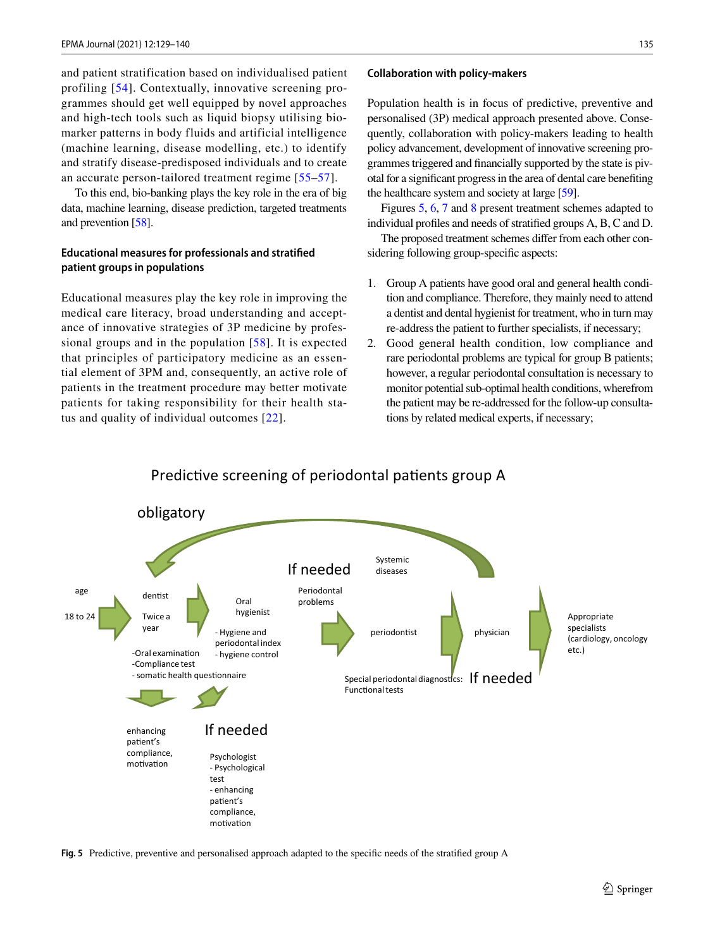and patient stratification based on individualised patient profiling [[54](#page-10-21)]. Contextually, innovative screening programmes should get well equipped by novel approaches and high-tech tools such as liquid biopsy utilising biomarker patterns in body fluids and artificial intelligence (machine learning, disease modelling, etc.) to identify and stratify disease-predisposed individuals and to create an accurate person-tailored treatment regime [[55](#page-10-22)–[57](#page-10-23)].

To this end, bio-banking plays the key role in the era of big data, machine learning, disease prediction, targeted treatments and prevention [[58](#page-10-24)].

### **Educational measures for professionals and stratifed patient groups in populations**

Educational measures play the key role in improving the medical care literacy, broad understanding and acceptance of innovative strategies of 3P medicine by professional groups and in the population [[58\]](#page-10-24). It is expected that principles of participatory medicine as an essential element of 3PM and, consequently, an active role of patients in the treatment procedure may better motivate patients for taking responsibility for their health status and quality of individual outcomes [[22](#page-9-16)].

#### **Collaboration with policy‑makers**

Population health is in focus of predictive, preventive and personalised (3P) medical approach presented above. Consequently, collaboration with policy-makers leading to health policy advancement, development of innovative screening programmes triggered and fnancially supported by the state is pivotal for a signifcant progress in the area of dental care benefting the healthcare system and society at large [\[59](#page-10-25)].

Figures [5,](#page-6-0) [6](#page-7-0), [7](#page-7-1) and [8](#page-8-0) present treatment schemes adapted to individual profles and needs of stratifed groups A, B, C and D.

The proposed treatment schemes difer from each other considering following group-specifc aspects:

- 1. Group A patients have good oral and general health condition and compliance. Therefore, they mainly need to attend a dentist and dental hygienist for treatment, who in turn may re-address the patient to further specialists, if necessary;
- 2. Good general health condition, low compliance and rare periodontal problems are typical for group B patients; however, a regular periodontal consultation is necessary to monitor potential sub-optimal health conditions, wherefrom the patient may be re-addressed for the follow-up consultations by related medical experts, if necessary;



Predictive screening of periodontal patients group A

<span id="page-6-0"></span>**Fig. 5** Predictive, preventive and personalised approach adapted to the specifc needs of the stratifed group A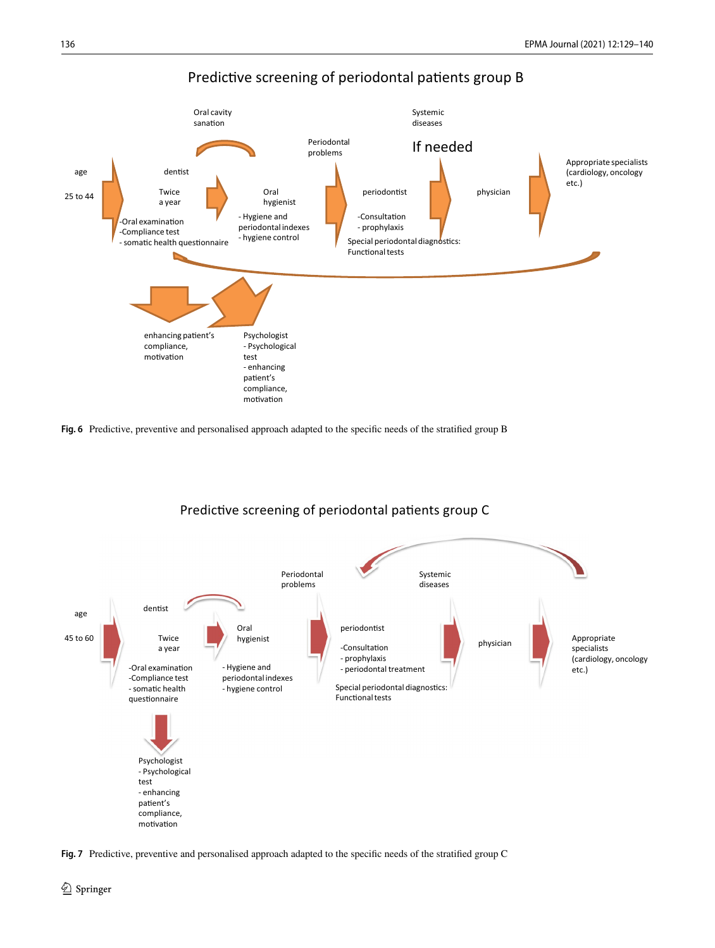

Predictive screening of periodontal patients group B

<span id="page-7-0"></span>



Predictive screening of periodontal patients group C

<span id="page-7-1"></span>**Fig. 7** Predictive, preventive and personalised approach adapted to the specifc needs of the stratifed group C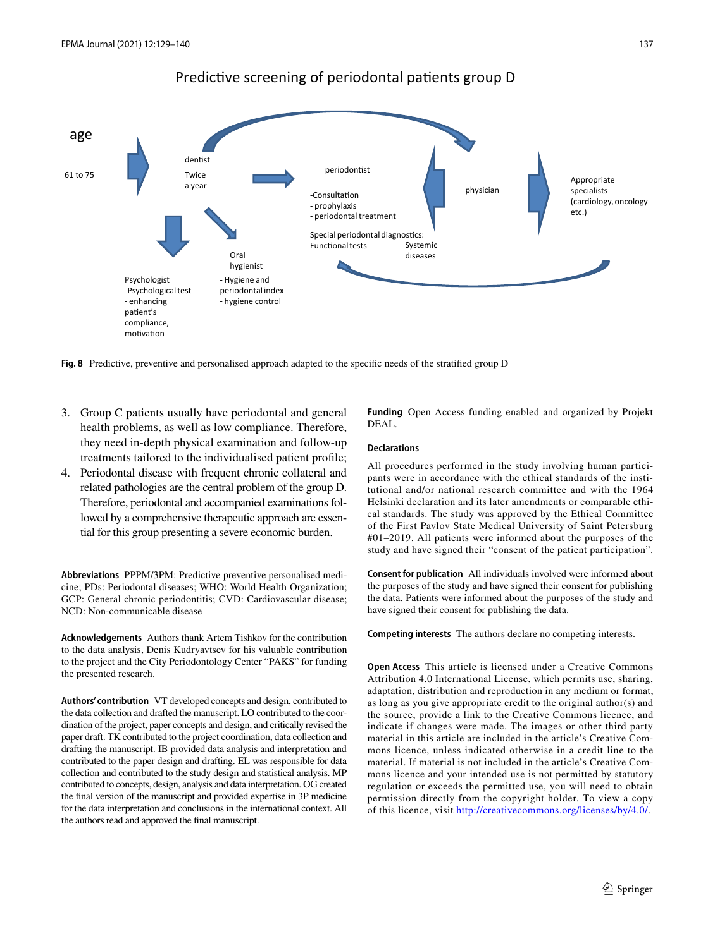

### Predictive screening of periodontal patients group D

<span id="page-8-0"></span>**Fig. 8** Predictive, preventive and personalised approach adapted to the specifc needs of the stratifed group D

- 3. Group C patients usually have periodontal and general health problems, as well as low compliance. Therefore, they need in-depth physical examination and follow-up treatments tailored to the individualised patient profle;
- 4. Periodontal disease with frequent chronic collateral and related pathologies are the central problem of the group D. Therefore, periodontal and accompanied examinations followed by a comprehensive therapeutic approach are essential for this group presenting a severe economic burden.

**Abbreviations** PPPM/3PM: Predictive preventive personalised medicine; PDs: Periodontal diseases; WHO: World Health Organization; GCP: General chronic periodontitis; CVD: Cardiovascular disease; NCD: Non-communicable disease

**Acknowledgements** Authors thank Artem Tishkov for the contribution to the data analysis, Denis Kudryavtsev for his valuable contribution to the project and the City Periodontology Center "PAKS" for funding the presented research.

**Authors' contribution** VT developed concepts and design, contributed to the data collection and drafted the manuscript. LO contributed to the coordination of the project, paper concepts and design, and critically revised the paper draft. TK contributed to the project coordination, data collection and drafting the manuscript. IB provided data analysis and interpretation and contributed to the paper design and drafting. EL was responsible for data collection and contributed to the study design and statistical analysis. MP contributed to concepts, design, analysis and data interpretation. OG created the fnal version of the manuscript and provided expertise in 3P medicine for the data interpretation and conclusions in the international context. All the authors read and approved the fnal manuscript.

**Funding** Open Access funding enabled and organized by Projekt DEAL.

#### **Declarations**

All procedures performed in the study involving human participants were in accordance with the ethical standards of the institutional and/or national research committee and with the 1964 Helsinki declaration and its later amendments or comparable ethical standards. The study was approved by the Ethical Committee of the First Pavlov State Medical University of Saint Petersburg #01–2019. All patients were informed about the purposes of the study and have signed their "consent of the patient participation".

**Consent for publication** All individuals involved were informed about the purposes of the study and have signed their consent for publishing the data. Patients were informed about the purposes of the study and have signed their consent for publishing the data.

**Competing interests** The authors declare no competing interests.

**Open Access** This article is licensed under a Creative Commons Attribution 4.0 International License, which permits use, sharing, adaptation, distribution and reproduction in any medium or format, as long as you give appropriate credit to the original author(s) and the source, provide a link to the Creative Commons licence, and indicate if changes were made. The images or other third party material in this article are included in the article's Creative Commons licence, unless indicated otherwise in a credit line to the material. If material is not included in the article's Creative Commons licence and your intended use is not permitted by statutory regulation or exceeds the permitted use, you will need to obtain permission directly from the copyright holder. To view a copy of this licence, visit<http://creativecommons.org/licenses/by/4.0/>.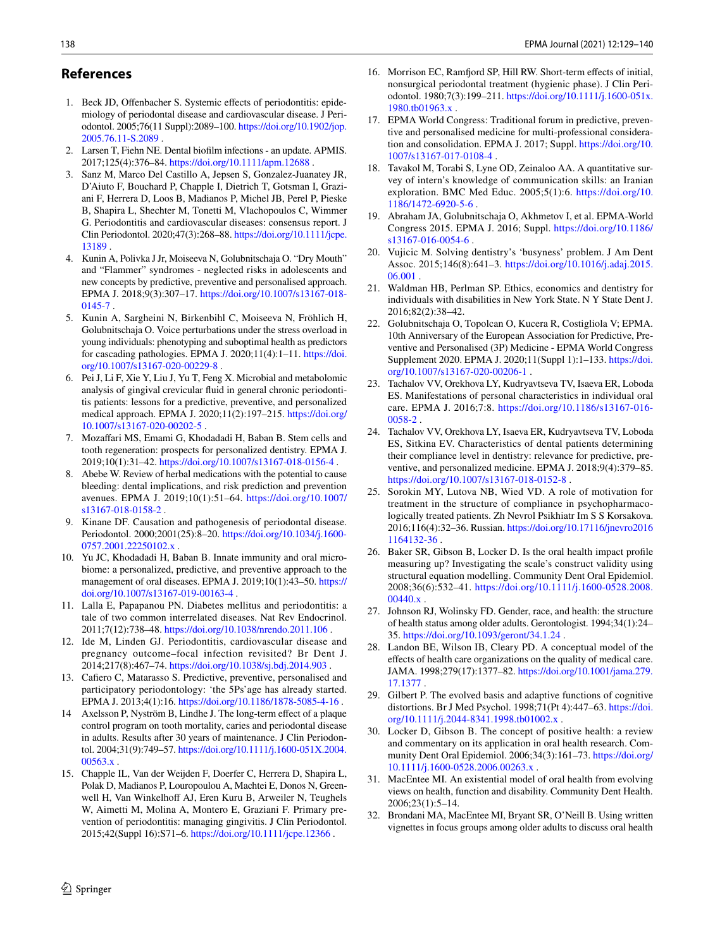### **References**

- <span id="page-9-0"></span>1. Beck JD, Offenbacher S. Systemic effects of periodontitis: epidemiology of periodontal disease and cardiovascular disease. J Periodontol. 2005;76(11 Suppl):2089–100. [https://doi.org/10.1902/jop.](https://doi.org/10.1902/jop.2005.76.11-S.2089) [2005.76.11-S.2089](https://doi.org/10.1902/jop.2005.76.11-S.2089) .
- <span id="page-9-9"></span>2. Larsen T, Fiehn NE. Dental bioflm infections - an update. APMIS. 2017;125(4):376–84.<https://doi.org/10.1111/apm.12688> .
- <span id="page-9-22"></span>3. Sanz M, Marco Del Castillo A, Jepsen S, Gonzalez-Juanatey JR, D'Aiuto F, Bouchard P, Chapple I, Dietrich T, Gotsman I, Graziani F, Herrera D, Loos B, Madianos P, Michel JB, Perel P, Pieske B, Shapira L, Shechter M, Tonetti M, Vlachopoulos C, Wimmer G. Periodontitis and cardiovascular diseases: consensus report. J Clin Periodontol. 2020;47(3):268–88. [https://doi.org/10.1111/jcpe.](https://doi.org/10.1111/jcpe.13189) [13189](https://doi.org/10.1111/jcpe.13189) .
- <span id="page-9-24"></span>4. Kunin A, Polivka J Jr, Moiseeva N, Golubnitschaja O. "Dry Mouth" and "Flammer" syndromes - neglected risks in adolescents and new concepts by predictive, preventive and personalised approach. EPMA J. 2018;9(3):307–17. [https://doi.org/10.1007/s13167-018-](https://doi.org/10.1007/s13167-018-0145-7) [0145-7 .](https://doi.org/10.1007/s13167-018-0145-7)
- <span id="page-9-1"></span>5. Kunin A, Sargheini N, Birkenbihl C, Moiseeva N, Fröhlich H, Golubnitschaja O. Voice perturbations under the stress overload in young individuals: phenotyping and suboptimal health as predictors for cascading pathologies. EPMA J. 2020;11(4):1–11. [https://doi.](https://doi.org/10.1007/s13167-020-00229-8) [org/10.1007/s13167-020-00229-8 .](https://doi.org/10.1007/s13167-020-00229-8)
- <span id="page-9-2"></span>6. Pei J, Li F, Xie Y, Liu J, Yu T, Feng X. Microbial and metabolomic analysis of gingival crevicular fuid in general chronic periodontitis patients: lessons for a predictive, preventive, and personalized medical approach. EPMA J. 2020;11(2):197–215. [https://doi.org/](https://doi.org/10.1007/s13167-020-00202-5) [10.1007/s13167-020-00202-5](https://doi.org/10.1007/s13167-020-00202-5) .
- 7. Mozafari MS, Emami G, Khodadadi H, Baban B. Stem cells and tooth regeneration: prospects for personalized dentistry. EPMA J. 2019;10(1):31–42. <https://doi.org/10.1007/s13167-018-0156-4>.
- <span id="page-9-3"></span>Abebe W. Review of herbal medications with the potential to cause bleeding: dental implications, and risk prediction and prevention avenues. EPMA J. 2019;10(1):51–64. [https://doi.org/10.1007/](https://doi.org/10.1007/s13167-018-0158-2) [s13167-018-0158-2](https://doi.org/10.1007/s13167-018-0158-2) .
- <span id="page-9-4"></span>9. Kinane DF. Causation and pathogenesis of periodontal disease. Periodontol. 2000;2001(25):8–20. [https://doi.org/10.1034/j.1600-](https://doi.org/10.1034/j.1600-0757.2001.22250102.x) 0757.2001.22250102.x.
- <span id="page-9-5"></span>10. Yu JC, Khodadadi H, Baban B. Innate immunity and oral microbiome: a personalized, predictive, and preventive approach to the management of oral diseases. EPMA J. 2019;10(1):43–50. [https://](https://doi.org/10.1007/s13167-019-00163-4) [doi.org/10.1007/s13167-019-00163-4](https://doi.org/10.1007/s13167-019-00163-4) .
- <span id="page-9-6"></span>11. Lalla E, Papapanou PN. Diabetes mellitus and periodontitis: a tale of two common interrelated diseases. Nat Rev Endocrinol. 2011;7(12):738–48.<https://doi.org/10.1038/nrendo.2011.106>.
- <span id="page-9-7"></span>12. Ide M, Linden GJ. Periodontitis, cardiovascular disease and pregnancy outcome–focal infection revisited? Br Dent J. 2014;217(8):467–74.<https://doi.org/10.1038/sj.bdj.2014.903>.
- <span id="page-9-8"></span>13. Cafero C, Matarasso S. Predictive, preventive, personalised and participatory periodontology: 'the 5Ps'age has already started. EPMA J. 2013;4(1):16. <https://doi.org/10.1186/1878-5085-4-16>.
- <span id="page-9-10"></span>Axelsson P, Nyström B, Lindhe J. The long-term effect of a plaque control program on tooth mortality, caries and periodontal disease in adults. Results after 30 years of maintenance. J Clin Periodontol. 2004;31(9):749–57. [https://doi.org/10.1111/j.1600-051X.2004.](https://doi.org/10.1111/j.1600-051X.2004.00563.x) [00563.x](https://doi.org/10.1111/j.1600-051X.2004.00563.x) .
- <span id="page-9-23"></span>15. Chapple IL, Van der Weijden F, Doerfer C, Herrera D, Shapira L, Polak D, Madianos P, Louropoulou A, Machtei E, Donos N, Greenwell H, Van Winkelhoff AJ, Eren Kuru B, Arweiler N, Teughels W, Aimetti M, Molina A, Montero E, Graziani F. Primary prevention of periodontitis: managing gingivitis. J Clin Periodontol. 2015;42(Suppl 16):S71–6.<https://doi.org/10.1111/jcpe.12366> .
- 16. Morrison EC, Ramford SP, Hill RW. Short-term efects of initial, nonsurgical periodontal treatment (hygienic phase). J Clin Periodontol. 1980;7(3):199–211. [https://doi.org/10.1111/j.1600-051x.](https://doi.org/10.1111/j.1600-051x.1980.tb01963.x) [1980.tb01963.x](https://doi.org/10.1111/j.1600-051x.1980.tb01963.x) .
- <span id="page-9-11"></span>17. EPMA World Congress: Traditional forum in predictive, preventive and personalised medicine for multi-professional consideration and consolidation. EPMA J. 2017; Suppl. [https://doi.org/10.](https://doi.org/10.1007/s13167-017-0108-4) [1007/s13167-017-0108-4 .](https://doi.org/10.1007/s13167-017-0108-4)
- <span id="page-9-12"></span>18. Tavakol M, Torabi S, Lyne OD, Zeinaloo AA. A quantitative survey of intern's knowledge of communication skills: an Iranian exploration. BMC Med Educ. 2005;5(1):6. [https://doi.org/10.](https://doi.org/10.1186/1472-6920-5-6) [1186/1472-6920-5-6](https://doi.org/10.1186/1472-6920-5-6) .
- <span id="page-9-13"></span>19. Abraham JA, Golubnitschaja O, Akhmetov I, et al. EPMA-World Congress 2015. EPMA J. 2016; Suppl. [https://doi.org/10.1186/](https://doi.org/10.1186/s13167-016-0054-6) [s13167-016-0054-6 .](https://doi.org/10.1186/s13167-016-0054-6)
- <span id="page-9-14"></span>20. Vujicic M. Solving dentistry's 'busyness' problem. J Am Dent Assoc. 2015;146(8):641–3. [https://doi.org/10.1016/j.adaj.2015.](https://doi.org/10.1016/j.adaj.2015.06.001) 06.001
- <span id="page-9-15"></span>21. Waldman HB, Perlman SP. Ethics, economics and dentistry for individuals with disabilities in New York State. N Y State Dent J. 2016;82(2):38–42.
- <span id="page-9-16"></span>22. Golubnitschaja O, Topolcan O, Kucera R, Costigliola V; EPMA. 10th Anniversary of the European Association for Predictive, Preventive and Personalised (3P) Medicine - EPMA World Congress Supplement 2020. EPMA J. 2020;11(Suppl 1):1–133. [https://doi.](https://doi.org/10.1007/s13167-020-00206-1) [org/10.1007/s13167-020-00206-1](https://doi.org/10.1007/s13167-020-00206-1) .
- 23. Tachalov VV, Orekhova LY, Kudryavtseva TV, Isaeva ER, Loboda ES. Manifestations of personal characteristics in individual oral care. EPMA J. 2016;7:8. [https://doi.org/10.1186/s13167-016-](https://doi.org/10.1186/s13167-016-0058-2) [0058-2 .](https://doi.org/10.1186/s13167-016-0058-2)
- <span id="page-9-17"></span>24. Tachalov VV, Orekhova LY, Isaeva ER, Kudryavtseva TV, Loboda ES, Sitkina EV. Characteristics of dental patients determining their compliance level in dentistry: relevance for predictive, preventive, and personalized medicine. EPMA J. 2018;9(4):379–85. <https://doi.org/10.1007/s13167-018-0152-8>.
- <span id="page-9-18"></span>25. Sorokin MY, Lutova NB, Wied VD. A role of motivation for treatment in the structure of compliance in psychopharmacologically treated patients. Zh Nevrol Psikhiatr Im S S Korsakova. 2016;116(4):32–36. Russian. [https://doi.org/10.17116/jnevro2016](https://doi.org/10.17116/jnevro20161164132-36) [1164132-36 .](https://doi.org/10.17116/jnevro20161164132-36)
- <span id="page-9-19"></span>26. Baker SR, Gibson B, Locker D. Is the oral health impact profle measuring up? Investigating the scale's construct validity using structural equation modelling. Community Dent Oral Epidemiol. 2008;36(6):532–41. [https://doi.org/10.1111/j.1600-0528.2008.](https://doi.org/10.1111/j.1600-0528.2008.00440.x) 00440.x
- 27. Johnson RJ, Wolinsky FD. Gender, race, and health: the structure of health status among older adults. Gerontologist. 1994;34(1):24– 35.<https://doi.org/10.1093/geront/34.1.24>.
- 28. Landon BE, Wilson IB, Cleary PD. A conceptual model of the efects of health care organizations on the quality of medical care. JAMA. 1998;279(17):1377–82. [https://doi.org/10.1001/jama.279.](https://doi.org/10.1001/jama.279.17.1377) [17.1377](https://doi.org/10.1001/jama.279.17.1377) .
- 29. Gilbert P. The evolved basis and adaptive functions of cognitive distortions. Br J Med Psychol. 1998;71(Pt 4):447–63. [https://doi.](https://doi.org/10.1111/j.2044-8341.1998.tb01002.x) [org/10.1111/j.2044-8341.1998.tb01002.x](https://doi.org/10.1111/j.2044-8341.1998.tb01002.x) .
- 30. Locker D, Gibson B. The concept of positive health: a review and commentary on its application in oral health research. Community Dent Oral Epidemiol. 2006;34(3):161–73. [https://doi.org/](https://doi.org/10.1111/j.1600-0528.2006.00263.x) [10.1111/j.1600-0528.2006.00263.x .](https://doi.org/10.1111/j.1600-0528.2006.00263.x)
- <span id="page-9-21"></span>31. MacEntee MI. An existential model of oral health from evolving views on health, function and disability. Community Dent Health. 2006;23(1):5–14.
- <span id="page-9-20"></span>32. Brondani MA, MacEntee MI, Bryant SR, O'Neill B. Using written vignettes in focus groups among older adults to discuss oral health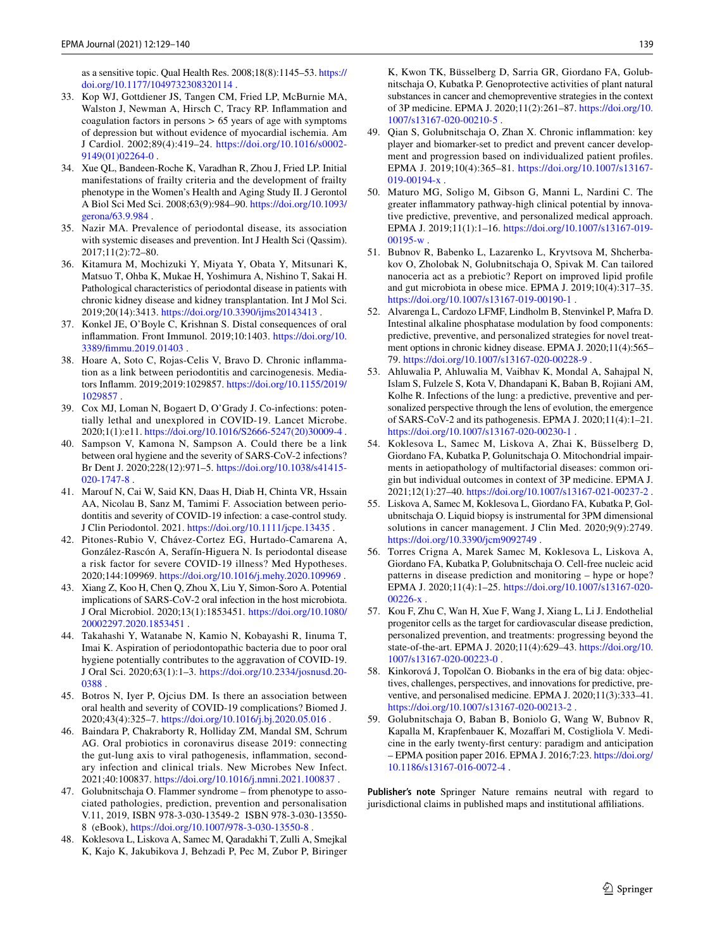as a sensitive topic. Qual Health Res. 2008;18(8):1145–53. [https://](https://doi.org/10.1177/1049732308320114) [doi.org/10.1177/1049732308320114 .](https://doi.org/10.1177/1049732308320114)

- <span id="page-10-0"></span>33. Kop WJ, Gottdiener JS, Tangen CM, Fried LP, McBurnie MA, Walston J, Newman A, Hirsch C, Tracy RP. Infammation and coagulation factors in persons  $> 65$  years of age with symptoms of depression but without evidence of myocardial ischemia. Am J Cardiol. 2002;89(4):419–24. [https://doi.org/10.1016/s0002-](https://doi.org/10.1016/s0002-9149(01)02264-0) [9149\(01\)02264-0](https://doi.org/10.1016/s0002-9149(01)02264-0) .
- <span id="page-10-1"></span>34. Xue QL, Bandeen-Roche K, Varadhan R, Zhou J, Fried LP. Initial manifestations of frailty criteria and the development of frailty phenotype in the Women's Health and Aging Study II. J Gerontol A Biol Sci Med Sci. 2008;63(9):984–90. [https://doi.org/10.1093/](https://doi.org/10.1093/gerona/63.9.984) [gerona/63.9.984 .](https://doi.org/10.1093/gerona/63.9.984)
- <span id="page-10-4"></span>35. Nazir MA. Prevalence of periodontal disease, its association with systemic diseases and prevention. Int J Health Sci (Qassim). 2017;11(2):72–80.
- <span id="page-10-5"></span>36. Kitamura M, Mochizuki Y, Miyata Y, Obata Y, Mitsunari K, Matsuo T, Ohba K, Mukae H, Yoshimura A, Nishino T, Sakai H. Pathological characteristics of periodontal disease in patients with chronic kidney disease and kidney transplantation. Int J Mol Sci. 2019;20(14):3413.<https://doi.org/10.3390/ijms20143413>.
- <span id="page-10-6"></span>37. Konkel JE, O'Boyle C, Krishnan S. Distal consequences of oral infammation. Front Immunol. 2019;10:1403. [https://doi.org/10.](https://doi.org/10.3389/fimmu.2019.01403) [3389/fmmu.2019.01403](https://doi.org/10.3389/fimmu.2019.01403) .
- <span id="page-10-7"></span>38. Hoare A, Soto C, Rojas-Celis V, Bravo D. Chronic infammation as a link between periodontitis and carcinogenesis. Mediators Infamm. 2019;2019:1029857. [https://doi.org/10.1155/2019/](https://doi.org/10.1155/2019/1029857) [1029857](https://doi.org/10.1155/2019/1029857) .
- <span id="page-10-8"></span>39. Cox MJ, Loman N, Bogaert D, O'Grady J. Co-infections: potentially lethal and unexplored in COVID-19. Lancet Microbe. 2020;1(1):e11. [https://doi.org/10.1016/S2666-5247\(20\)30009-4](https://doi.org/10.1016/S2666-5247(20)30009-4) .
- <span id="page-10-2"></span>40. Sampson V, Kamona N, Sampson A. Could there be a link between oral hygiene and the severity of SARS-CoV-2 infections? Br Dent J. 2020;228(12):971–5. [https://doi.org/10.1038/s41415-](https://doi.org/10.1038/s41415-020-1747-8) [020-1747-8](https://doi.org/10.1038/s41415-020-1747-8) .
- <span id="page-10-9"></span>41. Marouf N, Cai W, Said KN, Daas H, Diab H, Chinta VR, Hssain AA, Nicolau B, Sanz M, Tamimi F. Association between periodontitis and severity of COVID-19 infection: a case-control study. J Clin Periodontol. 2021.<https://doi.org/10.1111/jcpe.13435> .
- <span id="page-10-3"></span>42. Pitones-Rubio V, Chávez-Cortez EG, Hurtado-Camarena A, González-Rascón A, Serafín-Higuera N. Is periodontal disease a risk factor for severe COVID-19 illness? Med Hypotheses. 2020;144:109969. <https://doi.org/10.1016/j.mehy.2020.109969>.
- <span id="page-10-10"></span>43. Xiang Z, Koo H, Chen Q, Zhou X, Liu Y, Simon-Soro A. Potential implications of SARS-CoV-2 oral infection in the host microbiota. J Oral Microbiol. 2020;13(1):1853451. [https://doi.org/10.1080/](https://doi.org/10.1080/20002297.2020.1853451) [20002297.2020.1853451 .](https://doi.org/10.1080/20002297.2020.1853451)
- <span id="page-10-11"></span>44. Takahashi Y, Watanabe N, Kamio N, Kobayashi R, Iinuma T, Imai K. Aspiration of periodontopathic bacteria due to poor oral hygiene potentially contributes to the aggravation of COVID-19. J Oral Sci. 2020;63(1):1–3. [https://doi.org/10.2334/josnusd.20-](https://doi.org/10.2334/josnusd.20-0388) [0388](https://doi.org/10.2334/josnusd.20-0388) .
- <span id="page-10-12"></span>45. Botros N, Iyer P, Ojcius DM. Is there an association between oral health and severity of COVID-19 complications? Biomed J. 2020;43(4):325–7. [https://doi.org/10.1016/j.bj.2020.05.016 .](https://doi.org/10.1016/j.bj.2020.05.016)
- <span id="page-10-13"></span>46. Baindara P, Chakraborty R, Holliday ZM, Mandal SM, Schrum AG. Oral probiotics in coronavirus disease 2019: connecting the gut-lung axis to viral pathogenesis, infammation, secondary infection and clinical trials. New Microbes New Infect. 2021;40:100837. <https://doi.org/10.1016/j.nmni.2021.100837>.
- <span id="page-10-14"></span>47. Golubnitschaja O. Flammer syndrome – from phenotype to associated pathologies, prediction, prevention and personalisation V.11, 2019, ISBN 978-3-030-13549-2 ISBN 978-3-030-13550- 8 (eBook), <https://doi.org/10.1007/978-3-030-13550-8>.
- <span id="page-10-15"></span>48. Koklesova L, Liskova A, Samec M, Qaradakhi T, Zulli A, Smejkal K, Kajo K, Jakubikova J, Behzadi P, Pec M, Zubor P, Biringer

K, Kwon TK, Büsselberg D, Sarria GR, Giordano FA, Golubnitschaja O, Kubatka P. Genoprotective activities of plant natural substances in cancer and chemopreventive strategies in the context of 3P medicine. EPMA J. 2020;11(2):261–87. [https://doi.org/10.](https://doi.org/10.1007/s13167-020-00210-5)

- <span id="page-10-16"></span>[1007/s13167-020-00210-5 .](https://doi.org/10.1007/s13167-020-00210-5) 49. Qian S, Golubnitschaja O, Zhan X. Chronic infammation: key player and biomarker-set to predict and prevent cancer development and progression based on individualized patient profles. EPMA J. 2019;10(4):365–81. [https://doi.org/10.1007/s13167-](https://doi.org/10.1007/s13167-019-00194-x) [019-00194-x .](https://doi.org/10.1007/s13167-019-00194-x)
- <span id="page-10-17"></span>50. Maturo MG, Soligo M, Gibson G, Manni L, Nardini C. The greater infammatory pathway-high clinical potential by innovative predictive, preventive, and personalized medical approach. EPMA J. 2019;11(1):1–16. [https://doi.org/10.1007/s13167-019-](https://doi.org/10.1007/s13167-019-00195-w) 00195-w
- <span id="page-10-18"></span>51. Bubnov R, Babenko L, Lazarenko L, Kryvtsova M, Shcherbakov O, Zholobak N, Golubnitschaja O, Spivak M. Can tailored nanoceria act as a prebiotic? Report on improved lipid profle and gut microbiota in obese mice. EPMA J. 2019;10(4):317–35. https://doi.org/10.1007/s13167-019-00190-1.
- <span id="page-10-19"></span>52. Alvarenga L, Cardozo LFMF, Lindholm B, Stenvinkel P, Mafra D. Intestinal alkaline phosphatase modulation by food components: predictive, preventive, and personalized strategies for novel treatment options in chronic kidney disease. EPMA J. 2020;11(4):565– 79.<https://doi.org/10.1007/s13167-020-00228-9>.
- <span id="page-10-20"></span>53. Ahluwalia P, Ahluwalia M, Vaibhav K, Mondal A, Sahajpal N, Islam S, Fulzele S, Kota V, Dhandapani K, Baban B, Rojiani AM, Kolhe R. Infections of the lung: a predictive, preventive and personalized perspective through the lens of evolution, the emergence of SARS-CoV-2 and its pathogenesis. EPMA J. 2020;11(4):1–21. <https://doi.org/10.1007/s13167-020-00230-1>.
- <span id="page-10-21"></span>54. Koklesova L, Samec M, Liskova A, Zhai K, Büsselberg D, Giordano FA, Kubatka P, Golunitschaja O. Mitochondrial impairments in aetiopathology of multifactorial diseases: common origin but individual outcomes in context of 3P medicine. EPMA J. 2021;12(1):27–40. <https://doi.org/10.1007/s13167-021-00237-2>.
- <span id="page-10-22"></span>55. Liskova A, Samec M, Koklesova L, Giordano FA, Kubatka P, Golubnitschaja O. Liquid biopsy is instrumental for 3PM dimensional solutions in cancer management. J Clin Med. 2020;9(9):2749. <https://doi.org/10.3390/jcm9092749>.
- 56. Torres Crigna A, Marek Samec M, Koklesova L, Liskova A, Giordano FA, Kubatka P, Golubnitschaja O. Cell-free nucleic acid patterns in disease prediction and monitoring – hype or hope? EPMA J. 2020;11(4):1–25. [https://doi.org/10.1007/s13167-020-](https://doi.org/10.1007/s13167-020-00226-x) [00226-x .](https://doi.org/10.1007/s13167-020-00226-x)
- <span id="page-10-23"></span>57. Kou F, Zhu C, Wan H, Xue F, Wang J, Xiang L, Li J. Endothelial progenitor cells as the target for cardiovascular disease prediction, personalized prevention, and treatments: progressing beyond the state-of-the-art. EPMA J. 2020;11(4):629–43. [https://doi.org/10.](https://doi.org/10.1007/s13167-020-00223-0) [1007/s13167-020-00223-0 .](https://doi.org/10.1007/s13167-020-00223-0)
- <span id="page-10-24"></span>58. Kinkorová J, Topolčan O. Biobanks in the era of big data: objectives, challenges, perspectives, and innovations for predictive, preventive, and personalised medicine. EPMA J. 2020;11(3):333–41. <https://doi.org/10.1007/s13167-020-00213-2>.
- <span id="page-10-25"></span>59. Golubnitschaja O, Baban B, Boniolo G, Wang W, Bubnov R, Kapalla M, Krapfenbauer K, Mozafari M, Costigliola V. Medicine in the early twenty-frst century: paradigm and anticipation – EPMA position paper 2016. EPMA J. 2016;7:23. [https://doi.org/](https://doi.org/10.1186/s13167-016-0072-4) [10.1186/s13167-016-0072-4](https://doi.org/10.1186/s13167-016-0072-4) .

**Publisher's note** Springer Nature remains neutral with regard to jurisdictional claims in published maps and institutional affiliations.